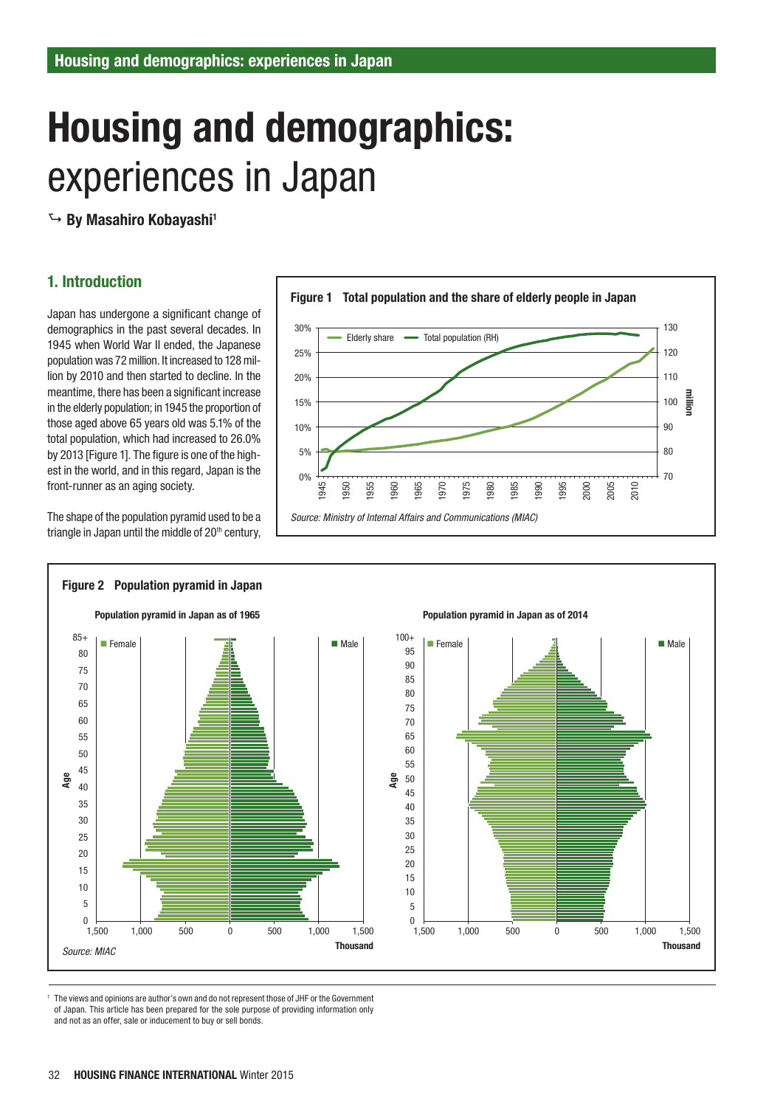# Housing and demographics: experiences in Japan

 $\hookrightarrow$  By Masahiro Kobayashi<sup>1</sup>

## 1. Introduction

Japan has undergone a significant change of demographics in the past several decades. In 1945 when World War II ended, the Japanese population was 72 million. It increased to 128 million by 2010 and then started to decline. In the meantime, there has been a significant increase in the elderly population; in 1945 the proportion of those aged above 65 years old was 5.1% of the total population, which had increased to 26.0% by 2013 [Figure 1]. The figure is one of the highest in the world, and in this regard, Japan is the front-runner as an aging society.

The shape of the population pyramid used to be a triangle in Japan until the middle of  $20<sup>th</sup>$  century,





1 The views and opinions are author's own and do not represent those of JHF or the Government of Japan. This article has been prepared for the sole purpose of providing information only and not as an offer, sale or inducement to buy or sell bonds.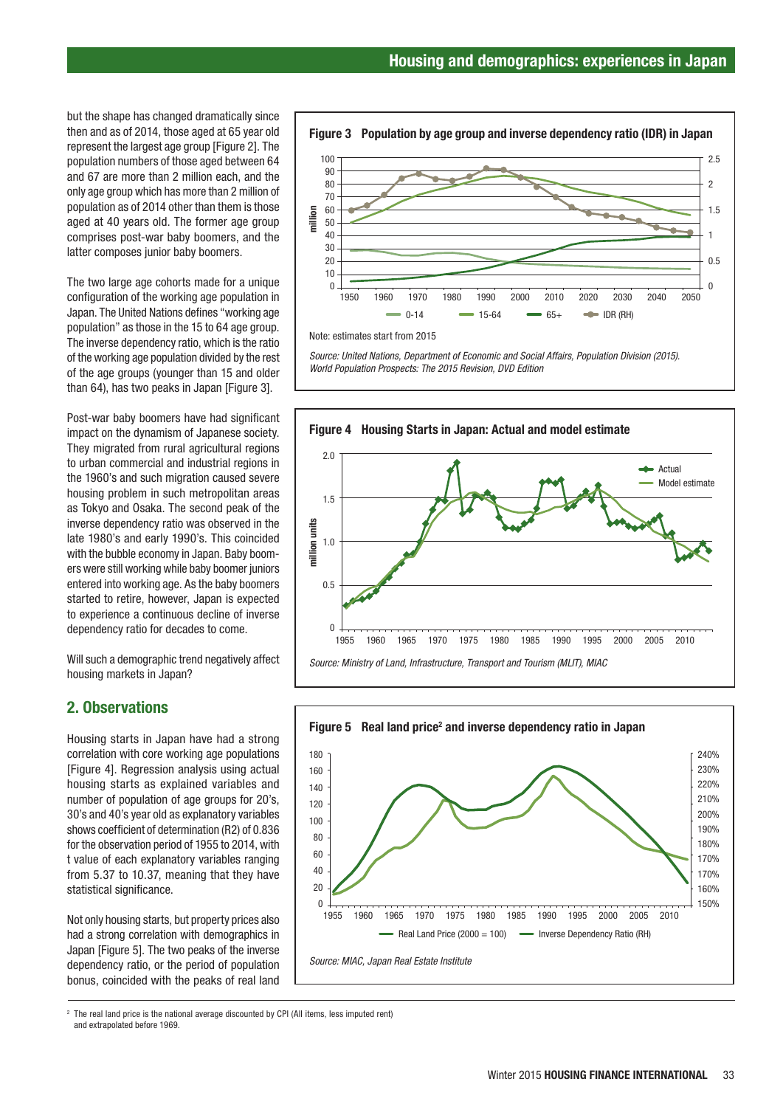but the shape has changed dramatically since then and as of 2014, those aged at 65 year old represent the largest age group [Figure 2]. The population numbers of those aged between 64 and 67 are more than 2 million each, and the only age group which has more than 2 million of population as of 2014 other than them is those aged at 40 years old. The former age group comprises post-war baby boomers, and the latter composes junior baby boomers.

The two large age cohorts made for a unique configuration of the working age population in Japan. The United Nations defines "working age population" as those in the 15 to 64 age group. The inverse dependency ratio, which is the ratio of the working age population divided by the rest of the age groups (younger than 15 and older than 64), has two peaks in Japan [Figure 3].

Post-war baby boomers have had significant impact on the dynamism of Japanese society. They migrated from rural agricultural regions to urban commercial and industrial regions in the 1960's and such migration caused severe housing problem in such metropolitan areas as Tokyo and Osaka. The second peak of the inverse dependency ratio was observed in the late 1980's and early 1990's. This coincided with the bubble economy in Japan. Baby boomers were still working while baby boomer juniors entered into working age. As the baby boomers started to retire, however, Japan is expected to experience a continuous decline of inverse dependency ratio for decades to come.

Will such a demographic trend negatively affect housing markets in Japan?

#### 2. Observations

Housing starts in Japan have had a strong correlation with core working age populations [Figure 4]. Regression analysis using actual housing starts as explained variables and number of population of age groups for 20's, 30's and 40's year old as explanatory variables shows coefficient of determination (R2) of 0.836 for the observation period of 1955 to 2014, with t value of each explanatory variables ranging from 5.37 to 10.37, meaning that they have statistical significance.

Not only housing starts, but property prices also had a strong correlation with demographics in Japan [Figure 5]. The two peaks of the inverse dependency ratio, or the period of population bonus, coincided with the peaks of real land





Note: estimates start from 2015

*Source: United Nations, Department of Economic and Social Affairs, Population Division (2015). World Population Prospects: The 2015 Revision, DVD Edition*



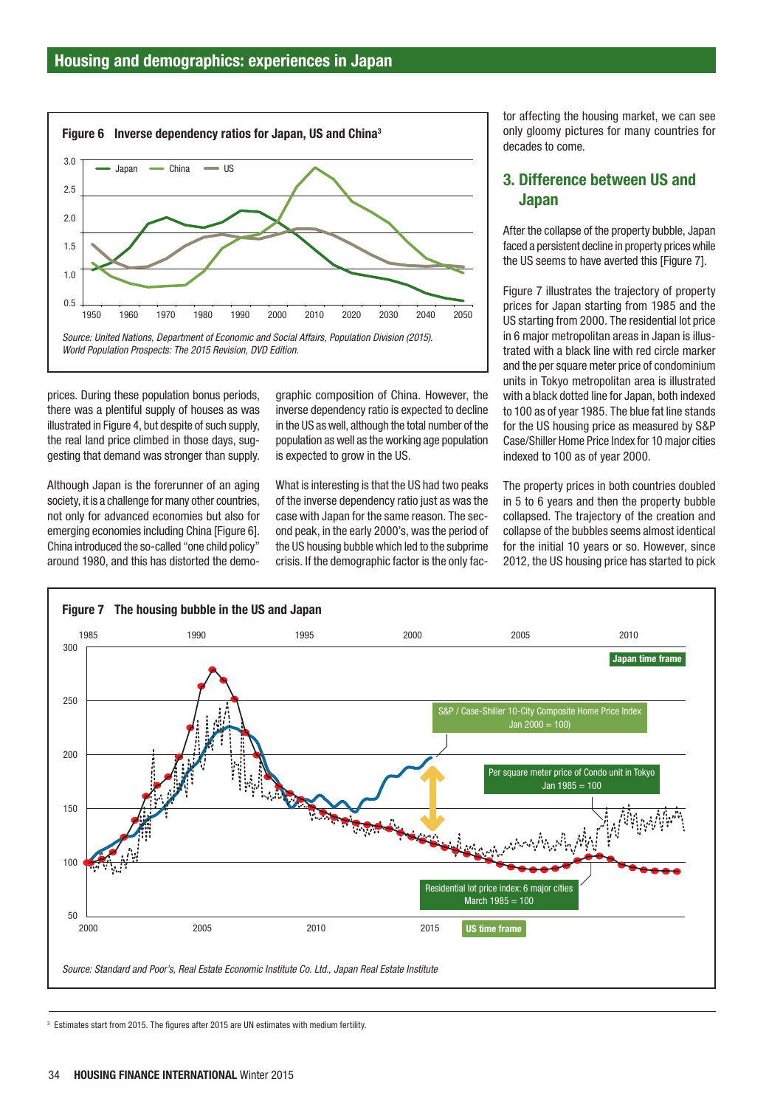

prices. During these population bonus periods, there was a plentiful supply of houses as was illustrated in Figure 4, but despite of such supply, the real land price climbed in those days, suggesting that demand was stronger than supply.

Although Japan is the forerunner of an aging society, it is a challenge for many other countries. not only for advanced economies but also for emerging economies including China [Figure 6]. China introduced the so-called "one child policy" around 1980, and this has distorted the demographic composition of China. However, the inverse dependency ratio is expected to decline in the US as well, although the total number of the population as well as the working age population is expected to grow in the US.

What is interesting is that the US had two peaks of the inverse dependency ratio just as was the case with Japan for the same reason. The second peak, in the early 2000's, was the period of the US housing bubble which led to the subprime crisis. If the demographic factor is the only factor affecting the housing market, we can see only gloomy pictures for many countries for decades to come.

## 3. Difference between US and Japan

After the collapse of the property bubble, Japan faced a persistent decline in property prices while the US seems to have averted this [Figure 7].

Figure 7 illustrates the trajectory of property prices for Japan starting from 1985 and the US starting from 2000. The residential lot price in 6 major metropolitan areas in Japan is illustrated with a black line with red circle marker and the per square meter price of condominium units in Tokyo metropolitan area is illustrated with a black dotted line for Japan, both indexed to 100 as of year 1985. The blue fat line stands for the US housing price as measured by S&P Case/Shiller Home Price Index for 10 major cities indexed to 100 as of year 2000.

The property prices in both countries doubled in 5 to 6 years and then the property bubble collapsed. The trajectory of the creation and collapse of the bubbles seems almost identical for the initial 10 years or so. However, since 2012, the US housing price has started to pick



<sup>3</sup> Estimates start from 2015. The figures after 2015 are UN estimates with medium fertility.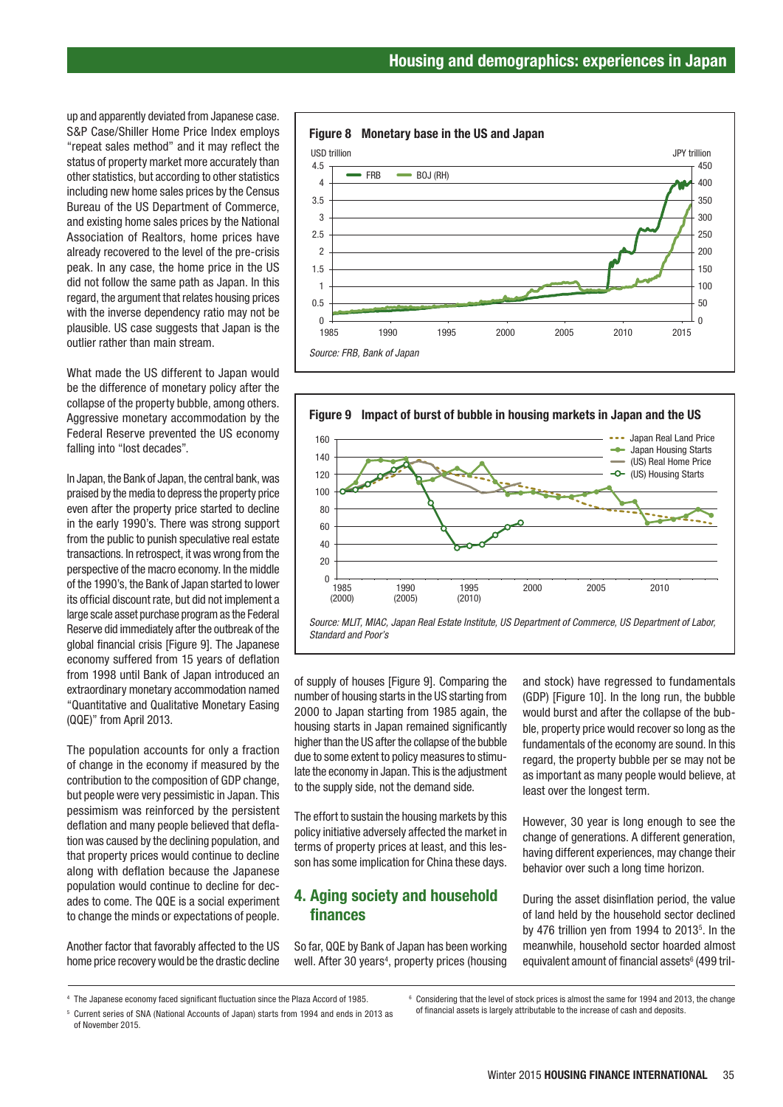up and apparently deviated from Japanese case. S&P Case/Shiller Home Price Index employs "repeat sales method" and it may reflect the status of property market more accurately than other statistics, but according to other statistics including new home sales prices by the Census Bureau of the US Department of Commerce, and existing home sales prices by the National Association of Realtors, home prices have already recovered to the level of the pre-crisis peak. In any case, the home price in the US did not follow the same path as Japan. In this regard, the argument that relates housing prices with the inverse dependency ratio may not be plausible. US case suggests that Japan is the outlier rather than main stream.

What made the US different to Japan would be the difference of monetary policy after the collapse of the property bubble, among others. Aggressive monetary accommodation by the Federal Reserve prevented the US economy falling into "lost decades".

In Japan, the Bank of Japan, the central bank, was praised by the media to depress the property price even after the property price started to decline in the early 1990's. There was strong support from the public to punish speculative real estate transactions. In retrospect, it was wrong from the perspective of the macro economy. In the middle of the 1990's, the Bank of Japan started to lower its official discount rate, but did not implement a large scale asset purchase program as the Federal Reserve did immediately after the outbreak of the global financial crisis [Figure 9]. The Japanese economy suffered from 15 years of deflation from 1998 until Bank of Japan introduced an extraordinary monetary accommodation named "Quantitative and Qualitative Monetary Easing (QQE)" from April 2013.

The population accounts for only a fraction of change in the economy if measured by the contribution to the composition of GDP change, but people were very pessimistic in Japan. This pessimism was reinforced by the persistent deflation and many people believed that deflation was caused by the declining population, and that property prices would continue to decline along with deflation because the Japanese population would continue to decline for decades to come. The QQE is a social experiment to change the minds or expectations of people.

Another factor that favorably affected to the US home price recovery would be the drastic decline







of supply of houses [Figure 9]. Comparing the number of housing starts in the US starting from 2000 to Japan starting from 1985 again, the housing starts in Japan remained significantly higher than the US after the collapse of the bubble due to some extent to policy measures to stimulate the economy in Japan. This is the adjustment to the supply side, not the demand side.

The effort to sustain the housing markets by this policy initiative adversely affected the market in terms of property prices at least, and this lesson has some implication for China these days.

## 4. Aging society and household finances

So far, QQE by Bank of Japan has been working well. After 30 years<sup>4</sup>, property prices (housing and stock) have regressed to fundamentals (GDP) [Figure 10]. In the long run, the bubble would burst and after the collapse of the bubble, property price would recover so long as the fundamentals of the economy are sound. In this regard, the property bubble per se may not be as important as many people would believe, at least over the longest term.

However, 30 year is long enough to see the change of generations. A different generation, having different experiences, may change their behavior over such a long time horizon.

During the asset disinflation period, the value of land held by the household sector declined by 476 trillion yen from 1994 to 2013 $5$ . In the meanwhile, household sector hoarded almost equivalent amount of financial assets<sup>6</sup> (499 tril-

<sup>4</sup> The Japanese economy faced significant fluctuation since the Plaza Accord of 1985.

<sup>5</sup> Current series of SNA (National Accounts of Japan) starts from 1994 and ends in 2013 as of November 2015.

<sup>&</sup>lt;sup>6</sup> Considering that the level of stock prices is almost the same for 1994 and 2013, the change of financial assets is largely attributable to the increase of cash and deposits.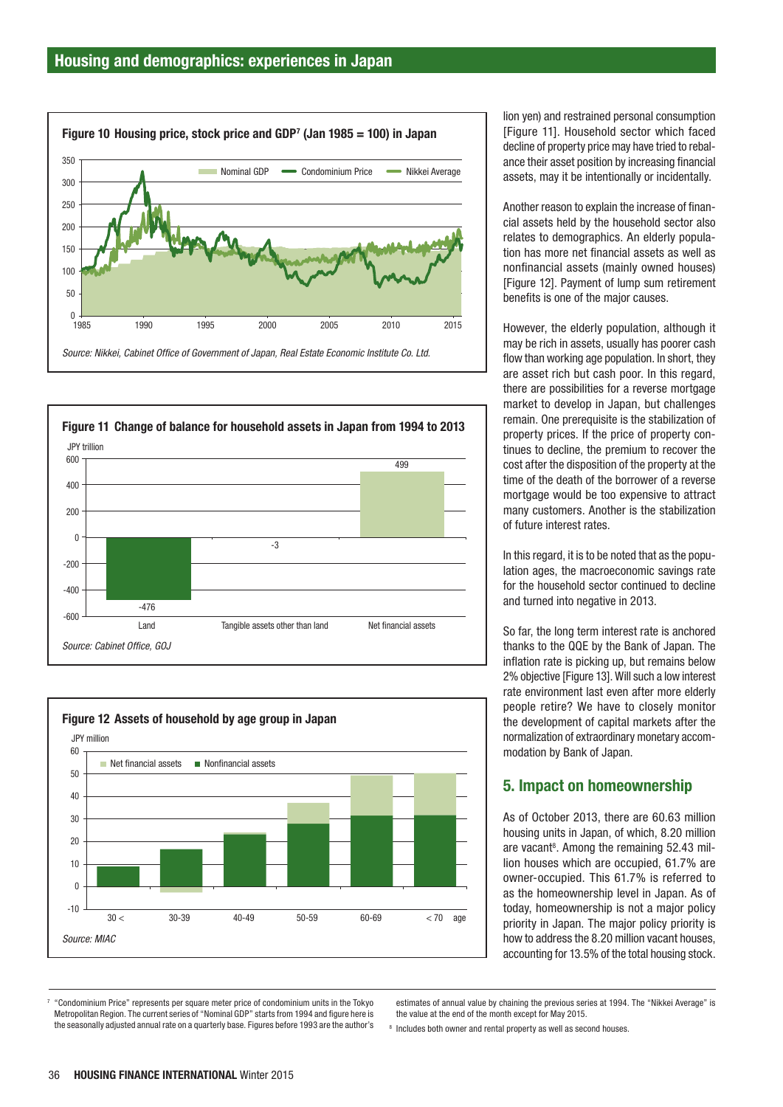





lion yen) and restrained personal consumption [Figure 11]. Household sector which faced decline of property price may have tried to rebalance their asset position by increasing financial assets, may it be intentionally or incidentally.

Another reason to explain the increase of financial assets held by the household sector also relates to demographics. An elderly population has more net financial assets as well as nonfinancial assets (mainly owned houses) [Figure 12]. Payment of lump sum retirement benefits is one of the major causes.

However, the elderly population, although it may be rich in assets, usually has poorer cash flow than working age population. In short, they are asset rich but cash poor. In this regard, there are possibilities for a reverse mortgage market to develop in Japan, but challenges remain. One prerequisite is the stabilization of property prices. If the price of property continues to decline, the premium to recover the cost after the disposition of the property at the time of the death of the borrower of a reverse mortgage would be too expensive to attract many customers. Another is the stabilization of future interest rates.

In this regard, it is to be noted that as the population ages, the macroeconomic savings rate for the household sector continued to decline and turned into negative in 2013.

So far, the long term interest rate is anchored thanks to the QQE by the Bank of Japan. The inflation rate is picking up, but remains below 2% objective [Figure 13]. Will such a low interest rate environment last even after more elderly people retire? We have to closely monitor the development of capital markets after the normalization of extraordinary monetary accommodation by Bank of Japan.

#### 5. Impact on homeownership

As of October 2013, there are 60.63 million housing units in Japan, of which, 8.20 million are vacant<sup>8</sup>. Among the remaining 52.43 million houses which are occupied, 61.7% are owner-occupied. This 61.7% is referred to as the homeownership level in Japan. As of today, homeownership is not a major policy priority in Japan. The major policy priority is how to address the 8.20 million vacant houses, accounting for 13.5% of the total housing stock.

7 "Condominium Price" represents per square meter price of condominium units in the Tokyo Metropolitan Region. The current series of "Nominal GDP" starts from 1994 and figure here is the seasonally adjusted annual rate on a quarterly base. Figures before 1993 are the author's estimates of annual value by chaining the previous series at 1994. The "Nikkei Average" is the value at the end of the month except for May 2015.

<sup>8</sup> Includes both owner and rental property as well as second houses.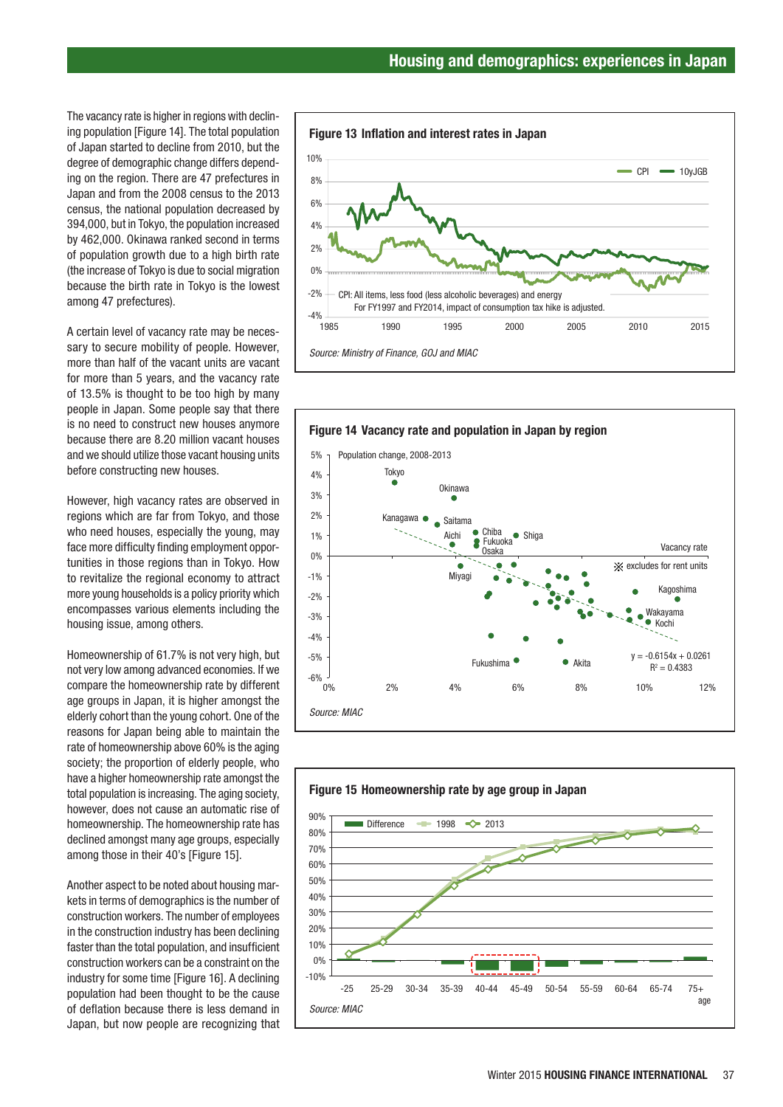The vacancy rate is higher in regions with declining population [Figure 14]. The total population of Japan started to decline from 2010, but the degree of demographic change differs depending on the region. There are 47 prefectures in Japan and from the 2008 census to the 2013 census, the national population decreased by 394,000, but in Tokyo, the population increased by 462,000. Okinawa ranked second in terms of population growth due to a high birth rate (the increase of Tokyo is due to social migration because the birth rate in Tokyo is the lowest among 47 prefectures).

A certain level of vacancy rate may be necessary to secure mobility of people. However, more than half of the vacant units are vacant for more than 5 years, and the vacancy rate of 13.5% is thought to be too high by many people in Japan. Some people say that there is no need to construct new houses anymore because there are 8.20 million vacant houses and we should utilize those vacant housing units before constructing new houses.

However, high vacancy rates are observed in regions which are far from Tokyo, and those who need houses, especially the young, may face more difficulty finding employment opportunities in those regions than in Tokyo. How to revitalize the regional economy to attract more young households is a policy priority which encompasses various elements including the housing issue, among others.

Homeownership of 61.7% is not very high, but not very low among advanced economies. If we compare the homeownership rate by different age groups in Japan, it is higher amongst the elderly cohort than the young cohort. One of the reasons for Japan being able to maintain the rate of homeownership above 60% is the aging society; the proportion of elderly people, who have a higher homeownership rate amongst the total population is increasing. The aging society, however, does not cause an automatic rise of homeownership. The homeownership rate has declined amongst many age groups, especially among those in their 40's [Figure 15].

Another aspect to be noted about housing markets in terms of demographics is the number of construction workers. The number of employees in the construction industry has been declining faster than the total population, and insufficient construction workers can be a constraint on the industry for some time [Figure 16]. A declining population had been thought to be the cause of deflation because there is less demand in Japan, but now people are recognizing that